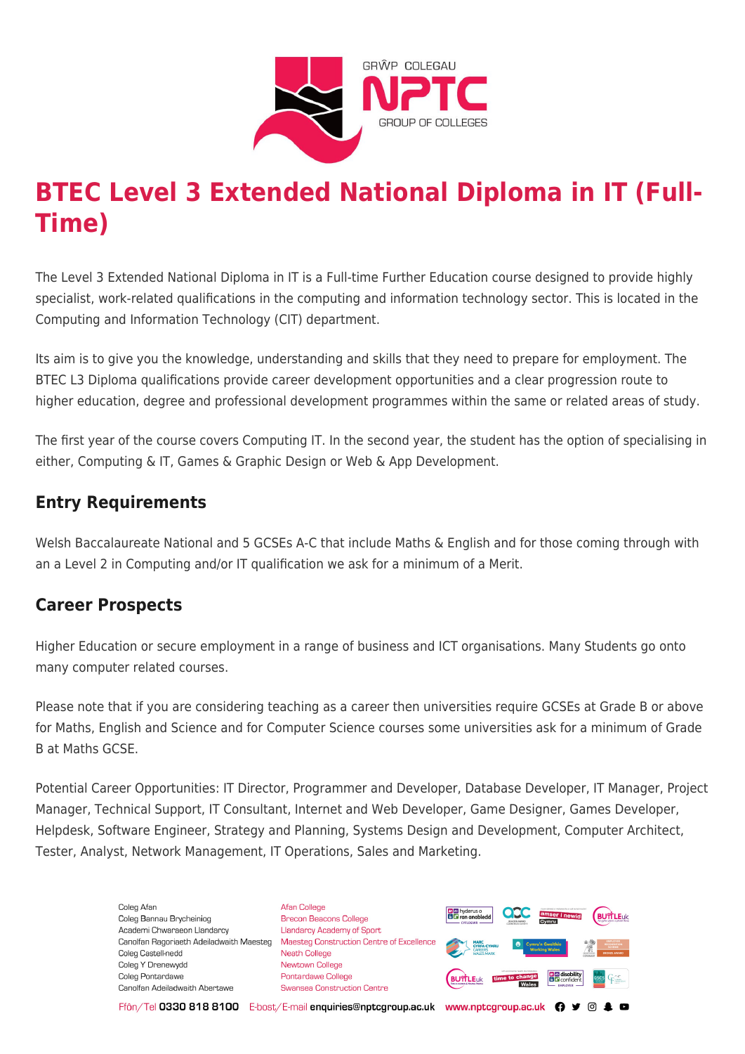

# **BTEC Level 3 Extended National Diploma in IT (Full-Time)**

The Level 3 Extended National Diploma in IT is a Full-time Further Education course designed to provide highly specialist, work-related qualifications in the computing and information technology sector. This is located in the Computing and Information Technology (CIT) department.

Its aim is to give you the knowledge, understanding and skills that they need to prepare for employment. The BTEC L3 Diploma qualifications provide career development opportunities and a clear progression route to higher education, degree and professional development programmes within the same or related areas of study.

The first year of the course covers Computing IT. In the second year, the student has the option of specialising in either, Computing & IT, Games & Graphic Design or Web & App Development.

## **Entry Requirements**

Welsh Baccalaureate National and 5 GCSEs A-C that include Maths & English and for those coming through with an a Level 2 in Computing and/or IT qualification we ask for a minimum of a Merit.

## **Career Prospects**

Higher Education or secure employment in a range of business and ICT organisations. Many Students go onto many computer related courses.

Please note that if you are considering teaching as a career then universities require GCSEs at Grade B or above for Maths, English and Science and for Computer Science courses some universities ask for a minimum of Grade B at Maths GCSE.

Potential Career Opportunities: IT Director, Programmer and Developer, Database Developer, IT Manager, Project Manager, Technical Support, IT Consultant, Internet and Web Developer, Game Designer, Games Developer, Helpdesk, Software Engineer, Strategy and Planning, Systems Design and Development, Computer Architect, Tester, Analyst, Network Management, IT Operations, Sales and Marketing.

> Coleg Afar Coleg Bannau Brycheiniog Academi Chwaraeon Llandarcy Canolfan Ragoriaeth Adeiladwaith Maesteg Coleg Castell-nedd Coleg Y Drenewydd Coleg Pontardawe Canolfan Adeiladwaith Abertawe

**Afan College** Brecon Beacons College **Llandarcy Academy of Sport** Maesteg Construction Centre of Excellence Neath College Newtown College **Pontardawe College** Swansea Construction Centre



Ffôn/Tel 0330 818 8100 E-bost/E-mail enquiries@nptcgroup.ac.uk www.nptcgroup.ac.uk ? • © \$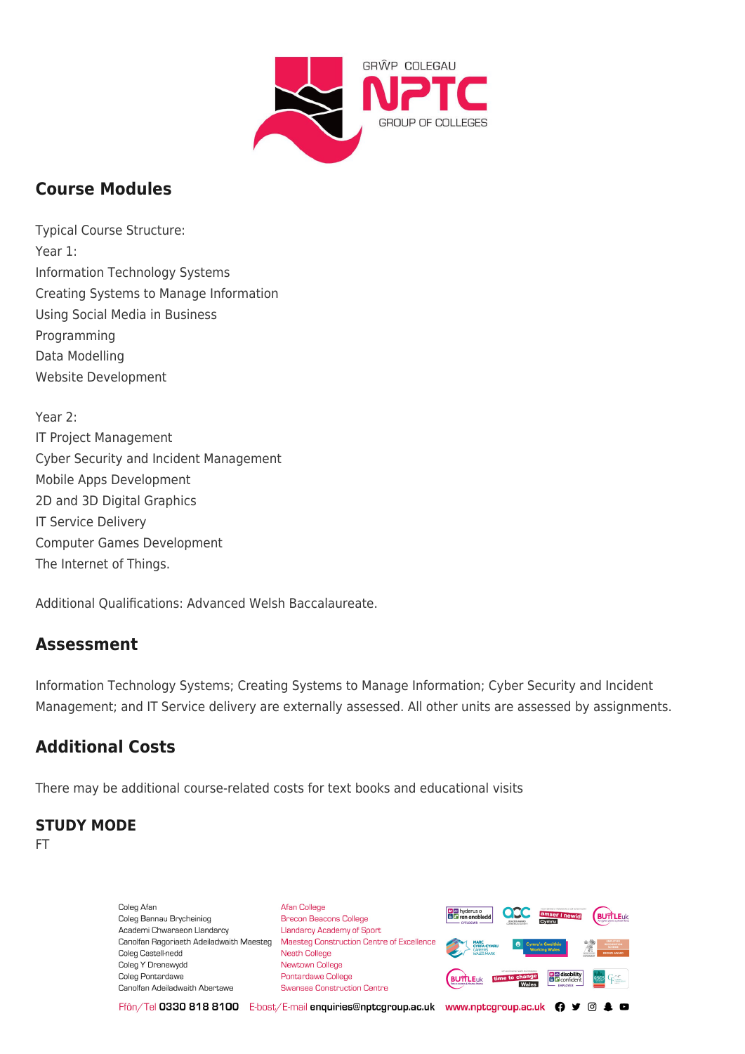

# **Course Modules**

Typical Course Structure: Year 1: Information Technology Systems Creating Systems to Manage Information Using Social Media in Business Programming Data Modelling Website Development

Year 2: IT Project Management Cyber Security and Incident Management Mobile Apps Development 2D and 3D Digital Graphics IT Service Delivery Computer Games Development The Internet of Things.

Additional Qualifications: Advanced Welsh Baccalaureate.

## **Assessment**

Information Technology Systems; Creating Systems to Manage Information; Cyber Security and Incident Management; and IT Service delivery are externally assessed. All other units are assessed by assignments.

# **Additional Costs**

There may be additional course-related costs for text books and educational visits

#### **STUDY MODE**

FT

Coleg Afan Coleg Bannau Brycheiniog Academi Chwaraeon Llandarcy Coleg Castell-nedd Coleg Y Drenewydd Coleg Pontardawe Canolfan Adeiladwaith Abertawe

**Afan College** Brecon Beacons College **Llandarcy Academy of Sport** Canolfan Ragoriaeth Adeiladwaith Maesteg Maesteg Construction Centre of Excellence Neath College Newtown College **Pontardawe College Swansea Construction Centre** 



Ffôn/Tel 0330 818 8100 E-bost/E-mail enquiries@nptcgroup.ac.uk www.nptcgroup.ac.uk ? • © \$